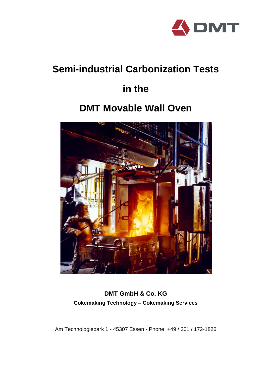

# **Semi-industrial Carbonization Tests**

# **in the**

# **DMT Movable Wall Oven**



### **DMT GmbH & Co. KG Cokemaking Technology – Cokemaking Services**

Am Technologiepark 1 - 45307 Essen - Phone: +49 / 201 / 172-1826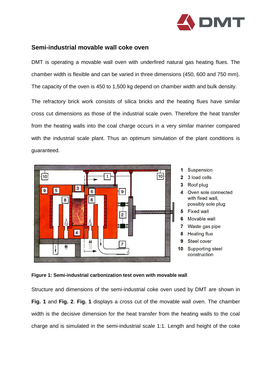

### **Semi-industrial movable wall coke oven**

DMT is operating a movable wall oven with underfired natural gas heating flues. The chamber width is flexible and can be varied in three dimensions (450, 600 and 750 mm). The capacity of the oven is 450 to 1,500 kg depend on chamber width and bulk density.

The refractory brick work consists of silica bricks and the heating flues have similar cross cut dimensions as those of the industrial scale oven. Therefore the heat transfer from the heating walls into the coal charge occurs in a very similar manner compared with the industrial scale plant. Thus an optimum simulation of the plant conditions is guaranteed.





Structure and dimensions of the semi-industrial coke oven used by DMT are shown in **Fig. 1** and **Fig. 2**. **Fig. 1** displays a cross cut of the movable wall oven. The chamber width is the decisive dimension for the heat transfer from the heating walls to the coal charge and is simulated in the semi-industrial scale 1:1. Length and height of the coke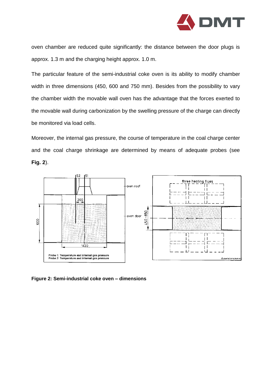

oven chamber are reduced quite significantly: the distance between the door plugs is approx. 1.3 m and the charging height approx. 1.0 m.

The particular feature of the semi-industrial coke oven is its ability to modify chamber width in three dimensions (450, 600 and 750 mm). Besides from the possibility to vary the chamber width the movable wall oven has the advantage that the forces exerted to the movable wall during carbonization by the swelling pressure of the charge can directly be monitored via load cells.

Moreover, the internal gas pressure, the course of temperature in the coal charge center and the coal charge shrinkage are determined by means of adequate probes (see **Fig. 2**).



**Figure 2: Semi-industrial coke oven – dimensions**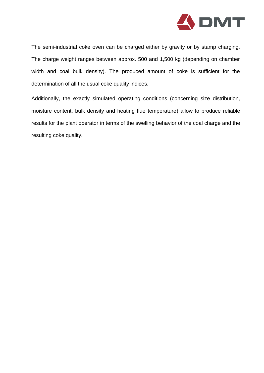

The semi-industrial coke oven can be charged either by gravity or by stamp charging. The charge weight ranges between approx. 500 and 1,500 kg (depending on chamber width and coal bulk density). The produced amount of coke is sufficient for the determination of all the usual coke quality indices.

Additionally, the exactly simulated operating conditions (concerning size distribution, moisture content, bulk density and heating flue temperature) allow to produce reliable results for the plant operator in terms of the swelling behavior of the coal charge and the resulting coke quality.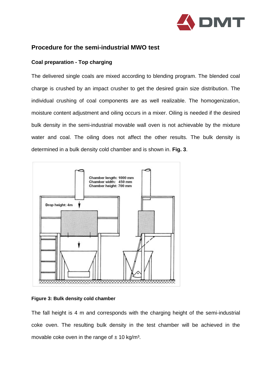

### **Procedure for the semi-industrial MWO test**

#### **Coal preparation - Top charging**

The delivered single coals are mixed according to blending program. The blended coal charge is crushed by an impact crusher to get the desired grain size distribution. The individual crushing of coal components are as well realizable. The homogenization, moisture content adjustment and oiling occurs in a mixer. Oiling is needed if the desired bulk density in the semi-industrial movable wall oven is not achievable by the mixture water and coal. The oiling does not affect the other results. The bulk density is determined in a bulk density cold chamber and is shown in. **Fig. 3**.



#### **Figure 3: Bulk density cold chamber**

The fall height is 4 m and corresponds with the charging height of the semi-industrial coke oven. The resulting bulk density in the test chamber will be achieved in the movable coke oven in the range of  $\pm$  10 kg/m<sup>3</sup>.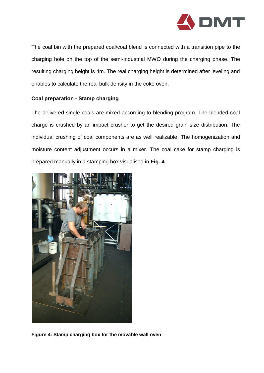

The coal bin with the prepared coal/coal blend is connected with a transition pipe to the charging hole on the top of the semi-industrial MWO during the charging phase. The resulting charging height is 4m. The real charging height is determined after leveling and enables to calculate the real bulk density in the coke oven.

#### **Coal preparation - Stamp charging**

The delivered single coals are mixed according to blending program. The blended coal charge is crushed by an impact crusher to get the desired grain size distribution. The individual crushing of coal components are as well realizable. The homogenization and moisture content adjustment occurs in a mixer. The coal cake for stamp charging is prepared manually in a stamping box visualised in **Fig. 4**.



**Figure 4: Stamp charging box for the movable wall oven**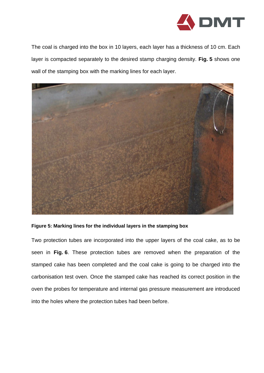

The coal is charged into the box in 10 layers, each layer has a thickness of 10 cm. Each layer is compacted separately to the desired stamp charging density. **Fig. 5** shows one wall of the stamping box with the marking lines for each layer.



#### **Figure 5: Marking lines for the individual layers in the stamping box**

Two protection tubes are incorporated into the upper layers of the coal cake, as to be seen in **Fig. 6**. These protection tubes are removed when the preparation of the stamped cake has been completed and the coal cake is going to be charged into the carbonisation test oven. Once the stamped cake has reached its correct position in the oven the probes for temperature and internal gas pressure measurement are introduced into the holes where the protection tubes had been before.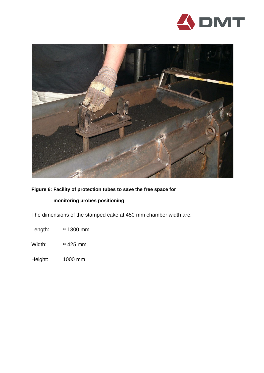



**Figure 6: Facility of protection tubes to save the free space for**

#### **monitoring probes positioning**

The dimensions of the stamped cake at 450 mm chamber width are:

Length:  $\approx 1300$  mm

Width:  $\approx 425$  mm

Height: 1000 mm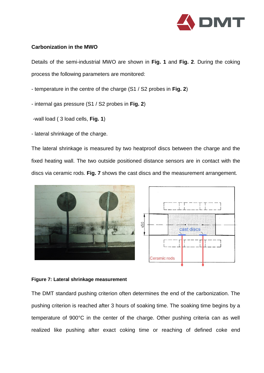

#### **Carbonization in the MWO**

Details of the semi-industrial MWO are shown in **Fig. 1** and **Fig. 2**. During the coking process the following parameters are monitored:

- temperature in the centre of the charge (S1 / S2 probes in **Fig. 2**)
- internal gas pressure (S1 / S2 probes in **Fig. 2**)
- -wall load ( 3 load cells, **Fig. 1**)
- lateral shrinkage of the charge.

The lateral shrinkage is measured by two heatproof discs between the charge and the fixed heating wall. The two outside positioned distance sensors are in contact with the discs via ceramic rods. **Fig. 7** shows the cast discs and the measurement arrangement.



#### **Figure 7: Lateral shrinkage measurement**

The DMT standard pushing criterion often determines the end of the carbonization. The pushing criterion is reached after 3 hours of soaking time. The soaking time begins by a temperature of 900°C in the center of the charge. Other pushing criteria can as well realized like pushing after exact coking time or reaching of defined coke end